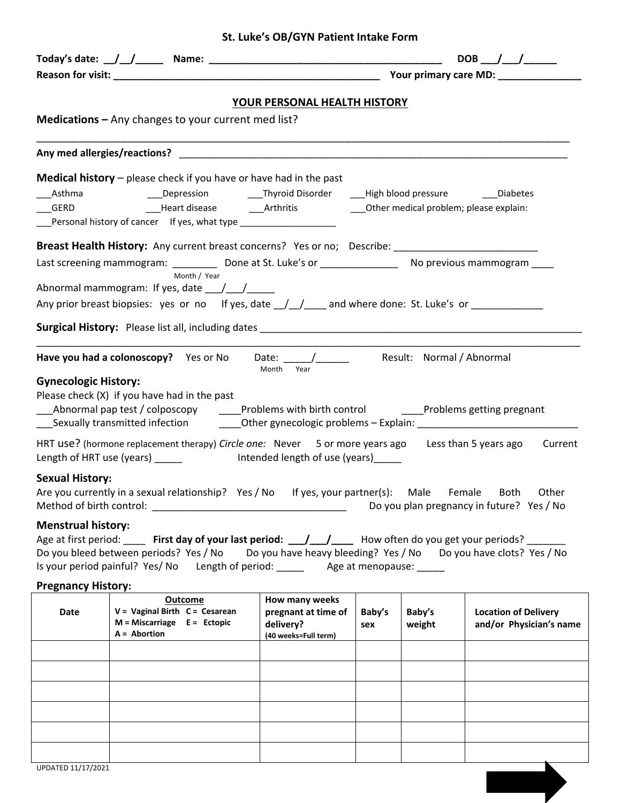|  | St. Luke's OB/GYN Patient Intake Form |
|--|---------------------------------------|
|--|---------------------------------------|

|                             |                                                                                                                                                                                                                                                                                                                 | YOUR PERSONAL HEALTH HISTORY                                               |               |                  |                                                        |  |
|-----------------------------|-----------------------------------------------------------------------------------------------------------------------------------------------------------------------------------------------------------------------------------------------------------------------------------------------------------------|----------------------------------------------------------------------------|---------------|------------------|--------------------------------------------------------|--|
|                             | Medications - Any changes to your current med list?                                                                                                                                                                                                                                                             |                                                                            |               |                  |                                                        |  |
|                             |                                                                                                                                                                                                                                                                                                                 |                                                                            |               |                  |                                                        |  |
|                             | <b>Medical history</b> $-$ please check if you have or have had in the past                                                                                                                                                                                                                                     |                                                                            |               |                  |                                                        |  |
|                             | Personal history of cancer If yes, what type ___________________                                                                                                                                                                                                                                                |                                                                            |               |                  |                                                        |  |
|                             | Breast Health History: Any current breast concerns? Yes or no; Describe: __________________________                                                                                                                                                                                                             |                                                                            |               |                  |                                                        |  |
|                             | Last screening mammogram: ____________ Done at St. Luke's or ___________________ No previous mammogram _____<br>Month / Year                                                                                                                                                                                    |                                                                            |               |                  |                                                        |  |
|                             | Abnormal mammogram: If yes, date $\frac{1}{\sqrt{1-\frac{1}{2}}}\$                                                                                                                                                                                                                                              |                                                                            |               |                  |                                                        |  |
|                             | Any prior breast biopsies: yes or no If yes, date _/_/____ and where done: St. Luke's or ___________                                                                                                                                                                                                            |                                                                            |               |                  |                                                        |  |
|                             |                                                                                                                                                                                                                                                                                                                 |                                                                            |               |                  |                                                        |  |
|                             |                                                                                                                                                                                                                                                                                                                 | Month Year                                                                 |               |                  |                                                        |  |
| <b>Gynecologic History:</b> | Please check (X) if you have had in the past<br>_Abnormal pap test / colposcopy ______Problems with birth control ______Problems getting pregnant<br>____Sexually transmitted infection ___________Other gynecologic problems - Explain: __________________________                                             |                                                                            |               |                  |                                                        |  |
|                             | HRT use? (hormone replacement therapy) Circle one: Never 5 or more years ago Less than 5 years ago Current<br>Length of HRT use (years) ______ lntended length of use (years) _____                                                                                                                             |                                                                            |               |                  |                                                        |  |
| <b>Sexual History:</b>      | Are you currently in a sexual relationship? Yes / No If yes, your partner(s): Male Female Both Other                                                                                                                                                                                                            |                                                                            |               |                  | Do you plan pregnancy in future? Yes / No              |  |
| <b>Menstrual history:</b>   | Age at first period: _____ First day of your last period: ___/___/_____ How often do you get your periods? _____<br>Do you bleed between periods? Yes / No Do you have heavy bleeding? Yes / No Do you have clots? Yes / No<br>Is your period painful? Yes/ No Length of period: ______ Age at menopause: _____ |                                                                            |               |                  |                                                        |  |
| <b>Pregnancy History:</b>   |                                                                                                                                                                                                                                                                                                                 |                                                                            |               |                  |                                                        |  |
| Date                        | Outcome<br>$V = V$ aginal Birth $C = C$ esarean<br>$M = Miscarriage$ E = Ectopic<br>$A =$ Abortion                                                                                                                                                                                                              | How many weeks<br>pregnant at time of<br>delivery?<br>(40 weeks=Full term) | Baby's<br>sex | Baby's<br>weight | <b>Location of Delivery</b><br>and/or Physician's name |  |
|                             |                                                                                                                                                                                                                                                                                                                 |                                                                            |               |                  |                                                        |  |
|                             |                                                                                                                                                                                                                                                                                                                 |                                                                            |               |                  |                                                        |  |
|                             |                                                                                                                                                                                                                                                                                                                 |                                                                            |               |                  |                                                        |  |
|                             |                                                                                                                                                                                                                                                                                                                 |                                                                            |               |                  |                                                        |  |
|                             |                                                                                                                                                                                                                                                                                                                 |                                                                            |               |                  |                                                        |  |
|                             |                                                                                                                                                                                                                                                                                                                 |                                                                            |               |                  |                                                        |  |
|                             |                                                                                                                                                                                                                                                                                                                 |                                                                            |               |                  |                                                        |  |